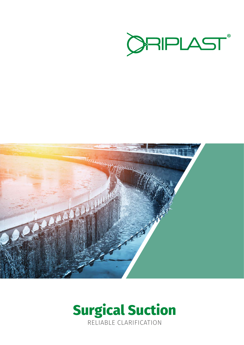



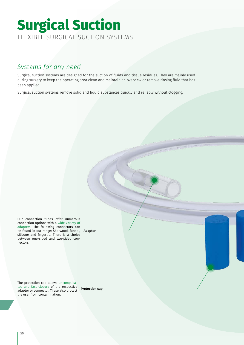# Surgical Suction **Surgical Suction** FLEXIBLE SURGICAL SUCTION SYSTEMS

## *Systems for any need*

Surgical suction systems are designed for the suction of fluids and tissue residues. They are mainly used during surgery to keep the operating area clean and maintain an overview or remove rinsing fluid that has been applied.

Surgical suction systems remove solid and liquid substances quickly and reliably without clogging.

Our connection tubes offer numerous connection options with a wide variety of adapters. The following connectors can be found in our range: Sherwood, funnel, silicone and fingertip. There is a choice between one-sided and two-sided connectors. **Adapter**

The protection cap allows uncomplicated and fast closure of the respective adapter or connector. These also protect the user from contamination.

**Protection cap**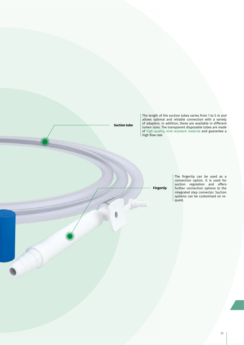**Suction tube**

The length of the suction tubes varies from 1 to 5 m and allows optimal and reliable connection with a variety of adapters. In addition, these are available in different lumen sizes. The transparent disposable tubes are made of high-quality, kink-resistant material and guarantee a high flow rate

**Fingertip**

The fingertip can be used as a connection option. It is used for suction regulation and offers further connection options to the integrated step connector. Suction systems can be customised on request.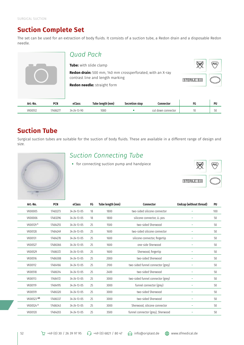### **Suction Complete Set**

The set can be used for an extraction of body fluids. It consists of a suction tube, a Redon drain and a disposable Redon needle.

|          |            | Quad Pack              |                                                                                                       |                   |                    |    |    |
|----------|------------|------------------------|-------------------------------------------------------------------------------------------------------|-------------------|--------------------|----|----|
|          |            | Tube: with slide clamp |                                                                                                       | (PVC)             |                    |    |    |
|          |            |                        | <b>Redon drain:</b> 500 mm, 140 mm crossperforated, with an X-ray<br>contrast line and length marking | <b>STERILE EO</b> |                    |    |    |
|          |            |                        | <b>Redon needle:</b> straight form                                                                    |                   |                    |    |    |
| Art.-No. | <b>PCN</b> | eClass                 | Tube length (mm)                                                                                      | Secretion stop    | Connector          | FG | PU |
| VK00512  | 17486277   | $34 - 24 - 13 - 90$    | 1080                                                                                                  |                   | cut down connector | 10 | 50 |

# **Suction Tube**

Surgical suction tubes are suitable for the suction of body fluids. These are available in a different range of design and size.



### *Suction Connecting Tube*

 $\bullet$  for connecting suction pump and handpiece



| Art.-No.    | <b>PCN</b> | eClass      | FG | Tube length (mm) | <b>Connector</b>                  | Endcap (without thread) | PU  |
|-------------|------------|-------------|----|------------------|-----------------------------------|-------------------------|-----|
| VK00005     | 17483273   | 34-24-13-05 | 18 | 1800             | two-sided silicone connector      |                         | 100 |
| VK00006     | 17483296   | 34-24-13-05 | 18 | 1800             | silicone connector, LL pos        |                         | 50  |
| VK001291    | 17484255   | 34-24-13-05 | 25 | 1500             | two-sided Sherwood                |                         | 50  |
| VK00128     | 17484249   | 34-24-13-05 | 25 | 1600             | two-sided silicone connector      |                         | 50  |
| VK00131     | 17484278   | 34-24-13-05 | 25 | 1600             | silicone connector, fingertip     | -                       | 50  |
| VK00527     | 17486366   | 34-24-13-05 | 25 | 1600             | one-side Sherwood                 |                         | 50  |
| VK00529     | 17486372   | 34-24-13-05 | 25 | 1600             | Sherwood, fingertip               | ۰                       | 50  |
| VK00516     | 17486308   | 34-24-13-05 | 25 | 2000             | two-sided Sherwood                |                         | 50  |
| VK00112     | 17484166   | 34-24-13-05 | 25 | 2100             | two-sided funnel connector (grey) |                         | 50  |
| VK00518     | 17486314   | 34-24-13-05 | 25 | 2400             | two-sided Sherwood                |                         | 50  |
| VK00113     | 17484172   | 34-24-13-05 | 25 | 3000             | two-sided funnel connector (grey) |                         | 50  |
| VK00119     | 17484195   | 34-24-13-05 | 25 | 3000             | funnel connector (grey)           |                         | 50  |
| VK00519     | 17486320   | 34-24-13-05 | 25 | 3000             | two-sided Sherwood                |                         | 50  |
| VK00523 2/3 | 17486337   | 34-24-13-05 | 25 | 3000             | two-sided Sherwood                |                         | 50  |
| VK00524 3   | 17486343   | 34-24-13-05 | 25 | 3000             | Sherwood, silicone connector      |                         | 50  |
| VK00120     | 17484203   | 34-24-13-05 | 25 | 3500             | funnel connector (grey), Sherwood |                         | 50  |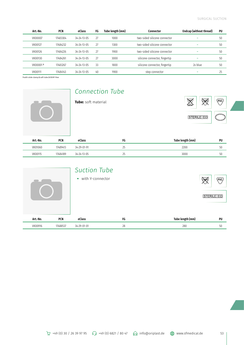| Art.-No.             | <b>PCN</b> | eClass              | FG | Tube length (mm) | Connector                     | Endcap (without thread) | PU |
|----------------------|------------|---------------------|----|------------------|-------------------------------|-------------------------|----|
| VK00007              | 17483304   | $34 - 24 - 13 - 05$ | 27 | 1000             | two-sided silicone connector  |                         | 50 |
| VK00127              | 17484232   | $34 - 24 - 13 - 05$ | 27 | 1300             | two-sided silicone connector  | -                       | 50 |
| VK00126              | 17484226   | $34 - 24 - 13 - 05$ | 27 | 1900             | two-sided silicone connector  | -                       | 50 |
| VK00130              | 17484261   | $34 - 24 - 13 - 05$ | 27 | 3000             | silicone connector, fingertip | -                       | 50 |
| VK00001 <sup>3</sup> | 17483267   | 34-24-13-05         | 33 | 1800             | silicone connector, fingertip | 2x blue                 | 50 |
| VK00111              | 17484143   | 34-24-13-05         | 40 | 1900             | step connector                |                         | 25 |

**1** with slide clamp **2** soft tube **3** DEHP-free



# *Connection Tube*



| Art.-No. | <b>PCN</b> | eClass              | FG | Tube length (mm) | PU |
|----------|------------|---------------------|----|------------------|----|
| VK01060  | 17489413   | $34 - 29 - 01 - 91$ | ت  | 2200             | 50 |
| VK00115  | 17484189   | $34 - 24 - 13 - 05$ | رے | 3000             | 50 |

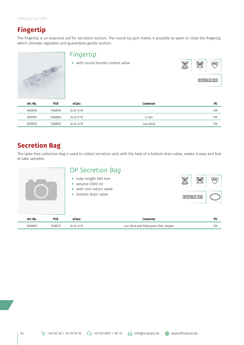# **Fingertip**

The fingertip is an essential aid for secretion suction. The round tip part makes it possible to open or close the fingertip, which ultimate regulates and guarantees gentle suction.

![](_page_5_Picture_3.jpeg)

|  | /C.)       |
|--|------------|
|  | STERILE EO |

| Art.-No. | <b>PCN</b> | eClass              | Connector  | PU  |
|----------|------------|---------------------|------------|-----|
| VK00950  | 17488796   | $34 - 24 - 13 - 07$ | -          | 100 |
| VK00951  | 17488804   | 34-25-11-92         | LL pos     | 100 |
| VK00952  | 17488810   | 34-24-13-07         | Luer-Steck | 100 |

# **Secretion Bag**

The latex-free collection bag is used to collect secretion and, with the help of a bottom drain valve, makes it easy and fast to take samples.

|                        | OP Secretion Bag<br>tube length 900 mm<br>$\bullet$<br>volume 2000 ml<br>with non-return valve<br>bottom drain valve<br>$\bullet$ |                                            | (PVC) |
|------------------------|-----------------------------------------------------------------------------------------------------------------------------------|--------------------------------------------|-------|
| Art.-No.<br><b>PCN</b> | eClass                                                                                                                            | Connector                                  | PU    |
| VK00893<br>17488371    | 34-24-13-91                                                                                                                       | Luer-Steck with Polyisopren (Set), adapter | 100   |